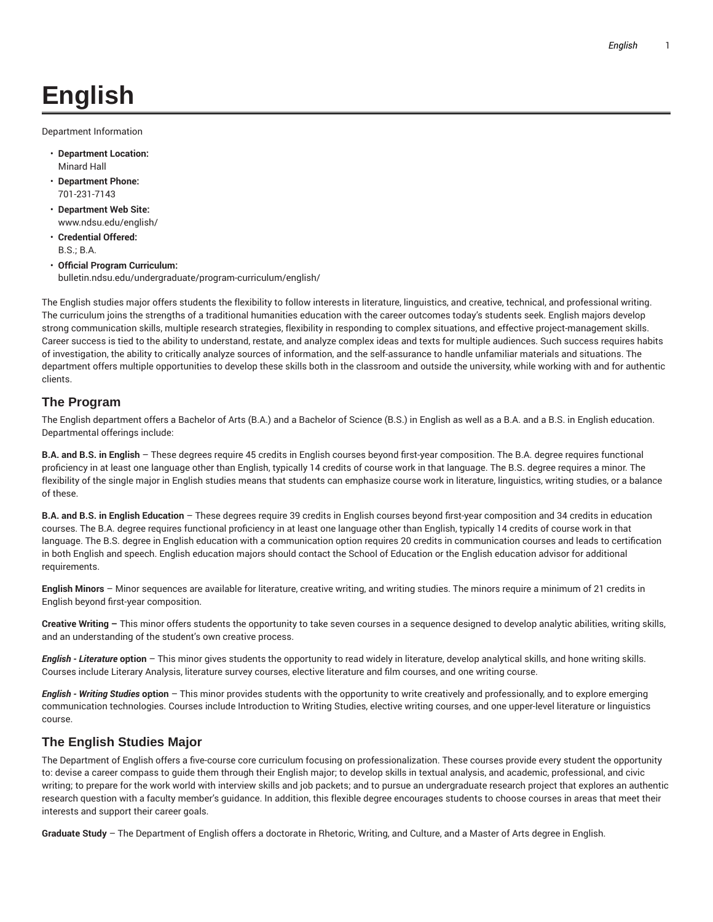# **English**

Department Information

- **Department Location:** Minard Hall
- **Department Phone:** 701-231-7143
- **Department Web Site:** www.ndsu.edu/english/
- **Credential Offered:** B.S.; B.A.
- **Official Program Curriculum:** bulletin.ndsu.edu/undergraduate/program-curriculum/english/

The English studies major offers students the flexibility to follow interests in literature, linguistics, and creative, technical, and professional writing. The curriculum joins the strengths of a traditional humanities education with the career outcomes today's students seek. English majors develop strong communication skills, multiple research strategies, flexibility in responding to complex situations, and effective project-management skills. Career success is tied to the ability to understand, restate, and analyze complex ideas and texts for multiple audiences. Such success requires habits of investigation, the ability to critically analyze sources of information, and the self-assurance to handle unfamiliar materials and situations. The department offers multiple opportunities to develop these skills both in the classroom and outside the university, while working with and for authentic clients.

#### **The Program**

The English department offers a Bachelor of Arts (B.A.) and a Bachelor of Science (B.S.) in English as well as a B.A. and a B.S. in English education. Departmental offerings include:

**B.A. and B.S. in English** – These degrees require 45 credits in English courses beyond first-year composition. The B.A. degree requires functional proficiency in at least one language other than English, typically 14 credits of course work in that language. The B.S. degree requires a minor. The flexibility of the single major in English studies means that students can emphasize course work in literature, linguistics, writing studies, or a balance of these.

**B.A. and B.S. in English Education** – These degrees require 39 credits in English courses beyond first-year composition and 34 credits in education courses. The B.A. degree requires functional proficiency in at least one language other than English, typically 14 credits of course work in that language. The B.S. degree in English education with a communication option requires 20 credits in communication courses and leads to certification in both English and speech. English education majors should contact the School of Education or the English education advisor for additional requirements.

**English Minors** – Minor sequences are available for literature, creative writing, and writing studies. The minors require a minimum of 21 credits in English beyond first-year composition.

**Creative Writing –** This minor offers students the opportunity to take seven courses in a sequence designed to develop analytic abilities, writing skills, and an understanding of the student's own creative process.

*English - Literature* **option** – This minor gives students the opportunity to read widely in literature, develop analytical skills, and hone writing skills. Courses include Literary Analysis, literature survey courses, elective literature and film courses, and one writing course.

*English - Writing Studies* **option** – This minor provides students with the opportunity to write creatively and professionally, and to explore emerging communication technologies. Courses include Introduction to Writing Studies, elective writing courses, and one upper-level literature or linguistics course.

## **The English Studies Major**

The Department of English offers a five-course core curriculum focusing on professionalization. These courses provide every student the opportunity to: devise a career compass to guide them through their English major; to develop skills in textual analysis, and academic, professional, and civic writing; to prepare for the work world with interview skills and job packets; and to pursue an undergraduate research project that explores an authentic research question with a faculty member's guidance. In addition, this flexible degree encourages students to choose courses in areas that meet their interests and support their career goals.

**Graduate Study** – The Department of English offers a doctorate in Rhetoric, Writing, and Culture, and a Master of Arts degree in English.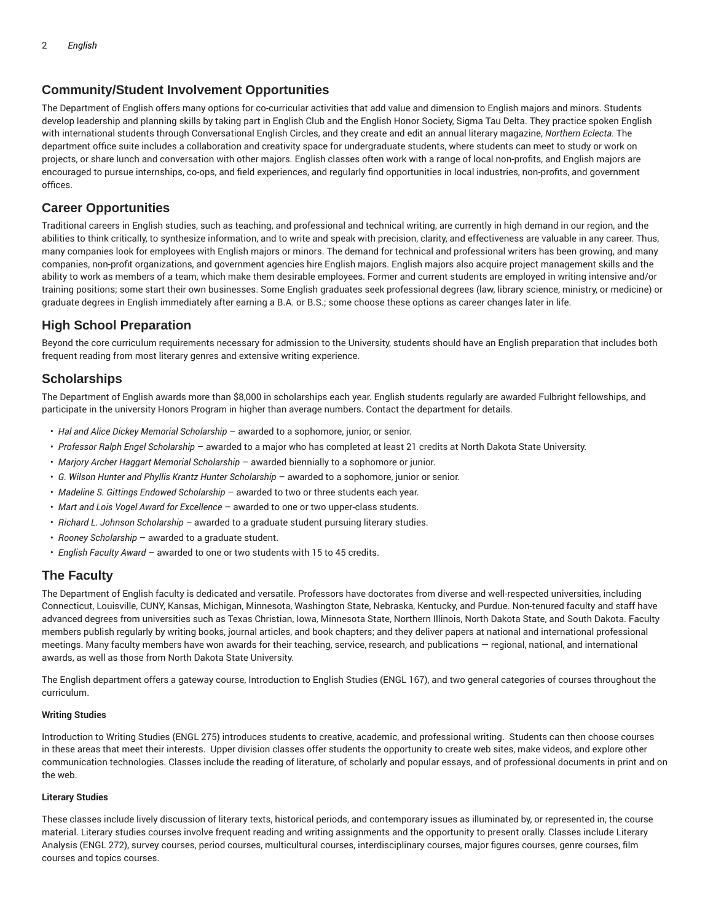#### **Community/Student Involvement Opportunities**

The Department of English offers many options for co-curricular activities that add value and dimension to English majors and minors. Students develop leadership and planning skills by taking part in English Club and the English Honor Society, Sigma Tau Delta. They practice spoken English with international students through Conversational English Circles, and they create and edit an annual literary magazine, *Northern Eclecta*. The department office suite includes a collaboration and creativity space for undergraduate students, where students can meet to study or work on projects, or share lunch and conversation with other majors. English classes often work with a range of local non-profits, and English majors are encouraged to pursue internships, co-ops, and field experiences, and regularly find opportunities in local industries, non-profits, and government offices.

#### **Career Opportunities**

Traditional careers in English studies, such as teaching, and professional and technical writing, are currently in high demand in our region, and the abilities to think critically, to synthesize information, and to write and speak with precision, clarity, and effectiveness are valuable in any career. Thus, many companies look for employees with English majors or minors. The demand for technical and professional writers has been growing, and many companies, non-profit organizations, and government agencies hire English majors. English majors also acquire project management skills and the ability to work as members of a team, which make them desirable employees. Former and current students are employed in writing intensive and/or training positions; some start their own businesses. Some English graduates seek professional degrees (law, library science, ministry, or medicine) or graduate degrees in English immediately after earning a B.A. or B.S.; some choose these options as career changes later in life.

### **High School Preparation**

Beyond the core curriculum requirements necessary for admission to the University, students should have an English preparation that includes both frequent reading from most literary genres and extensive writing experience.

#### **Scholarships**

The Department of English awards more than \$8,000 in scholarships each year. English students regularly are awarded Fulbright fellowships, and participate in the university Honors Program in higher than average numbers. Contact the department for details.

- *Hal and Alice Dickey Memorial Scholarship* awarded to a sophomore, junior, or senior.
- *Professor Ralph Engel Scholarship* awarded to a major who has completed at least 21 credits at North Dakota State University.
- *Marjory Archer Haggart Memorial Scholarship* awarded biennially to a sophomore or junior.
- *G. Wilson Hunter and Phyllis Krantz Hunter Scholarship* awarded to a sophomore, junior or senior.
- *Madeline S. Gittings Endowed Scholarship* awarded to two or three students each year.
- *Mart and Lois Vogel Award for Excellence* awarded to one or two upper-class students.
- *Richard L. Johnson Scholarship –* awarded to a graduate student pursuing literary studies.
- *Rooney Scholarship* awarded to a graduate student.
- *English Faculty Award* awarded to one or two students with 15 to 45 credits.

#### **The Faculty**

The Department of English faculty is dedicated and versatile. Professors have doctorates from diverse and well-respected universities, including Connecticut, Louisville, CUNY, Kansas, Michigan, Minnesota, Washington State, Nebraska, Kentucky, and Purdue. Non-tenured faculty and staff have advanced degrees from universities such as Texas Christian, Iowa, Minnesota State, Northern Illinois, North Dakota State, and South Dakota. Faculty members publish regularly by writing books, journal articles, and book chapters; and they deliver papers at national and international professional meetings. Many faculty members have won awards for their teaching, service, research, and publications — regional, national, and international awards, as well as those from North Dakota State University.

The English department offers a gateway course, Introduction to English Studies (ENGL 167), and two general categories of courses throughout the curriculum.

#### **Writing Studies**

Introduction to Writing Studies (ENGL 275) introduces students to creative, academic, and professional writing. Students can then choose courses in these areas that meet their interests. Upper division classes offer students the opportunity to create web sites, make videos, and explore other communication technologies. Classes include the reading of literature, of scholarly and popular essays, and of professional documents in print and on the web.

#### **Literary Studies**

These classes include lively discussion of literary texts, historical periods, and contemporary issues as illuminated by, or represented in, the course material. Literary studies courses involve frequent reading and writing assignments and the opportunity to present orally. Classes include Literary Analysis (ENGL 272), survey courses, period courses, multicultural courses, interdisciplinary courses, major figures courses, genre courses, film courses and topics courses.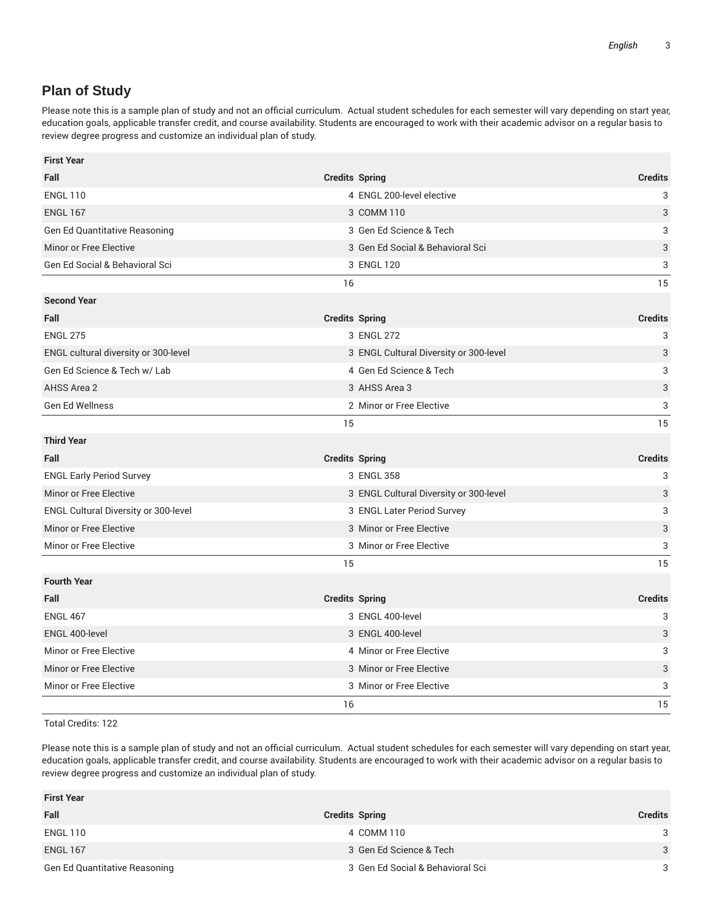# **Plan of Study**

Please note this is a sample plan of study and not an official curriculum. Actual student schedules for each semester will vary depending on start year, education goals, applicable transfer credit, and course availability. Students are encouraged to work with their academic advisor on a regular basis to review degree progress and customize an individual plan of study.

| <b>First Year</b>                    |                                        |                           |
|--------------------------------------|----------------------------------------|---------------------------|
| Fall                                 | <b>Credits Spring</b>                  | <b>Credits</b>            |
| <b>ENGL 110</b>                      | 4 ENGL 200-level elective              | 3                         |
| <b>ENGL 167</b>                      | 3 COMM 110                             | 3                         |
| Gen Ed Quantitative Reasoning        | 3 Gen Ed Science & Tech                | 3                         |
| Minor or Free Elective               | 3 Gen Ed Social & Behavioral Sci       | 3                         |
| Gen Ed Social & Behavioral Sci       | 3 ENGL 120                             | 3                         |
|                                      | 16                                     | 15                        |
| <b>Second Year</b>                   |                                        |                           |
| Fall                                 | <b>Credits Spring</b>                  | <b>Credits</b>            |
| <b>ENGL 275</b>                      | 3 ENGL 272                             | 3                         |
| ENGL cultural diversity or 300-level | 3 ENGL Cultural Diversity or 300-level | 3                         |
| Gen Ed Science & Tech w/ Lab         | 4 Gen Ed Science & Tech                | 3                         |
| AHSS Area 2                          | 3 AHSS Area 3                          | 3                         |
| Gen Ed Wellness                      | 2 Minor or Free Elective               | 3                         |
|                                      | 15                                     | 15                        |
| <b>Third Year</b>                    |                                        |                           |
| Fall                                 | <b>Credits Spring</b>                  | <b>Credits</b>            |
| <b>ENGL Early Period Survey</b>      | 3 ENGL 358                             | 3                         |
| Minor or Free Elective               | 3 ENGL Cultural Diversity or 300-level | 3                         |
| ENGL Cultural Diversity or 300-level | 3 ENGL Later Period Survey             | 3                         |
| Minor or Free Elective               | 3 Minor or Free Elective               | 3                         |
| Minor or Free Elective               | 3 Minor or Free Elective               | $\ensuremath{\mathsf{3}}$ |
|                                      | 15                                     | 15                        |
| <b>Fourth Year</b>                   |                                        |                           |
| Fall                                 | <b>Credits Spring</b>                  | <b>Credits</b>            |
| <b>ENGL 467</b>                      | 3 ENGL 400-level                       | 3                         |
| ENGL 400-level                       | 3 ENGL 400-level                       | $\ensuremath{\mathsf{3}}$ |
| Minor or Free Elective               | 4 Minor or Free Elective               | 3                         |
| Minor or Free Elective               | 3 Minor or Free Elective               | 3                         |
| Minor or Free Elective               | 3 Minor or Free Elective               | 3                         |
|                                      | 16                                     | 15                        |

Total Credits: 122

Please note this is a sample plan of study and not an official curriculum. Actual student schedules for each semester will vary depending on start year, education goals, applicable transfer credit, and course availability. Students are encouraged to work with their academic advisor on a regular basis to review degree progress and customize an individual plan of study.

| <b>First Year</b>             |                                  |                |
|-------------------------------|----------------------------------|----------------|
| Fall                          | <b>Credits Spring</b>            | <b>Credits</b> |
| ENGL 110                      | 4 COMM 110                       | 3              |
| <b>ENGL 167</b>               | 3 Gen Ed Science & Tech          | 3              |
| Gen Ed Quantitative Reasoning | 3 Gen Ed Social & Behavioral Sci | 3              |